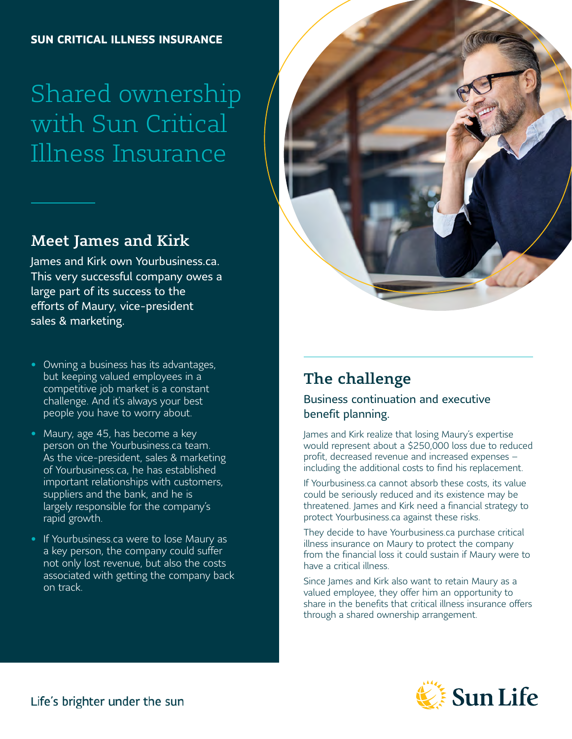# Shared ownership with Sun Critical Illness Insurance

### Meet James and Kirk

James and Kirk own Yourbusiness.ca. This very successful company owes a large part of its success to the efforts of Maury, vice-president sales & marketing.

#### • Owning a business has its advantages, but keeping valued employees in a competitive job market is a constant challenge. And it's always your best people you have to worry about.

- Maury, age 45, has become a key person on the Yourbusiness.ca team. As the vice-president, sales & marketing of Yourbusiness.ca, he has established important relationships with customers, suppliers and the bank, and he is largely responsible for the company's rapid growth.
- If Yourbusiness.ca were to lose Maury as a key person, the company could suffer not only lost revenue, but also the costs associated with getting the company back on track.



# The challenge

#### Business continuation and executive benefit planning.

James and Kirk realize that losing Maury's expertise would represent about a \$250,000 loss due to reduced profit, decreased revenue and increased expenses – including the additional costs to find his replacement.

If Yourbusiness.ca cannot absorb these costs, its value could be seriously reduced and its existence may be threatened. James and Kirk need a financial strategy to protect Yourbusiness.ca against these risks.

They decide to have Yourbusiness.ca purchase critical illness insurance on Maury to protect the company from the financial loss it could sustain if Maury were to have a critical illness.

Since James and Kirk also want to retain Maury as a valued employee, they offer him an opportunity to share in the benefits that critical illness insurance offers through a shared ownership arrangement.